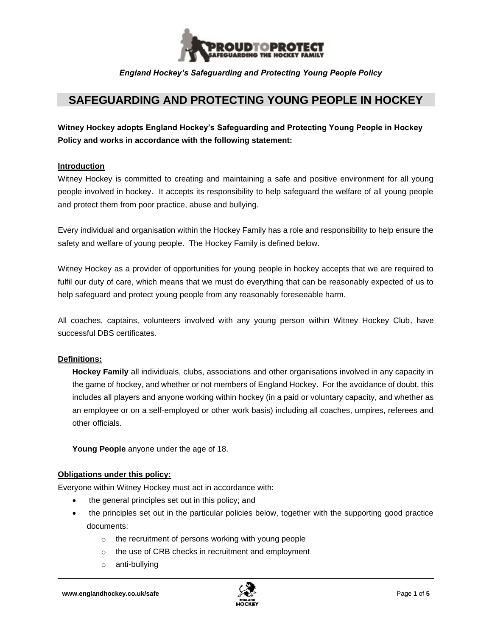

# **SAFEGUARDING AND PROTECTING YOUNG PEOPLE IN HOCKEY**

**Witney Hockey adopts England Hockey's Safeguarding and Protecting Young People in Hockey Policy and works in accordance with the following statement:**

#### **Introduction**

Witney Hockey is committed to creating and maintaining a safe and positive environment for all young people involved in hockey. It accepts its responsibility to help safeguard the welfare of all young people and protect them from poor practice, abuse and bullying.

Every individual and organisation within the Hockey Family has a role and responsibility to help ensure the safety and welfare of young people. The Hockey Family is defined below.

Witney Hockey as a provider of opportunities for young people in hockey accepts that we are required to fulfil our duty of care, which means that we must do everything that can be reasonably expected of us to help safeguard and protect young people from any reasonably foreseeable harm.

All coaches, captains, volunteers involved with any young person within Witney Hockey Club, have successful DBS certificates.

#### **Definitions:**

**Hockey Family** all individuals, clubs, associations and other organisations involved in any capacity in the game of hockey, and whether or not members of England Hockey. For the avoidance of doubt, this includes all players and anyone working within hockey (in a paid or voluntary capacity, and whether as an employee or on a self-employed or other work basis) including all coaches, umpires, referees and other officials.

**Young People** anyone under the age of 18.

#### **Obligations under this policy:**

Everyone within Witney Hockey must act in accordance with:

- the general principles set out in this policy; and
- the principles set out in the particular policies below, together with the supporting good practice documents:
	- o the recruitment of persons working with young people
	- o the use of CRB checks in recruitment and employment
	- o anti-bullying

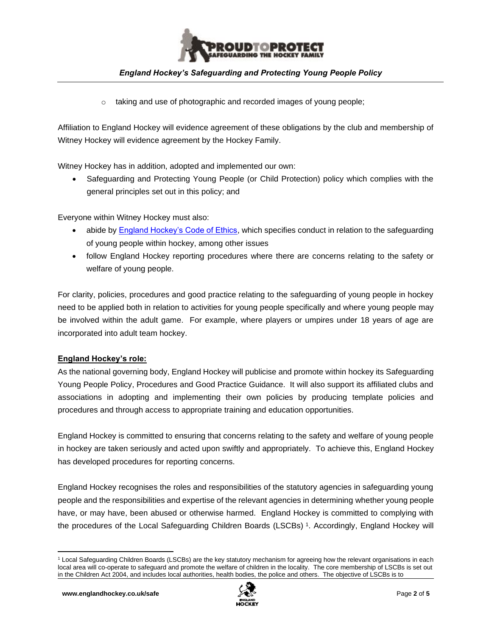

o taking and use of photographic and recorded images of young people;

Affiliation to England Hockey will evidence agreement of these obligations by the club and membership of Witney Hockey will evidence agreement by the Hockey Family.

Witney Hockey has in addition, adopted and implemented our own:

• Safeguarding and Protecting Young People (or Child Protection) policy which complies with the general principles set out in this policy; and

Everyone within Witney Hockey must also:

- abide by [England Hockey's Code of Ethics,](https://www.englandhockey.co.uk/governance/rules-and-regulations/code-of-ethics-and-behaviour) which specifies conduct in relation to the safeguarding of young people within hockey, among other issues
- follow England Hockey reporting procedures where there are concerns relating to the safety or welfare of young people.

For clarity, policies, procedures and good practice relating to the safeguarding of young people in hockey need to be applied both in relation to activities for young people specifically and where young people may be involved within the adult game. For example, where players or umpires under 18 years of age are incorporated into adult team hockey.

## **England Hockey's role:**

As the national governing body, England Hockey will publicise and promote within hockey its Safeguarding Young People Policy, Procedures and Good Practice Guidance. It will also support its affiliated clubs and associations in adopting and implementing their own policies by producing template policies and procedures and through access to appropriate training and education opportunities.

England Hockey is committed to ensuring that concerns relating to the safety and welfare of young people in hockey are taken seriously and acted upon swiftly and appropriately. To achieve this, England Hockey has developed procedures for reporting concerns.

England Hockey recognises the roles and responsibilities of the statutory agencies in safeguarding young people and the responsibilities and expertise of the relevant agencies in determining whether young people have, or may have, been abused or otherwise harmed. England Hockey is committed to complying with the procedures of the Local Safeguarding Children Boards (LSCBs) <sup>1</sup> . Accordingly, England Hockey will



<sup>1</sup> Local Safeguarding Children Boards (LSCBs) are the key statutory mechanism for agreeing how the relevant organisations in each local area will co-operate to safeguard and promote the welfare of children in the locality. The core membership of LSCBs is set out in the Children Act 2004, and includes local authorities, health bodies, the police and others. The objective of LSCBs is to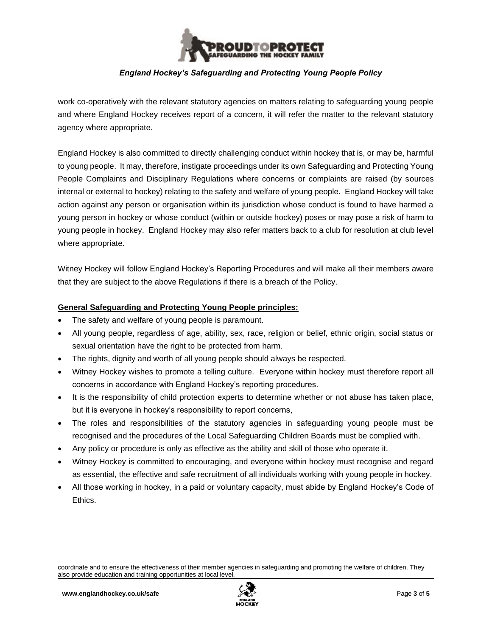

work co-operatively with the relevant statutory agencies on matters relating to safeguarding young people and where England Hockey receives report of a concern, it will refer the matter to the relevant statutory agency where appropriate.

England Hockey is also committed to directly challenging conduct within hockey that is, or may be, harmful to young people. It may, therefore, instigate proceedings under its own Safeguarding and Protecting Young People Complaints and Disciplinary Regulations where concerns or complaints are raised (by sources internal or external to hockey) relating to the safety and welfare of young people. England Hockey will take action against any person or organisation within its jurisdiction whose conduct is found to have harmed a young person in hockey or whose conduct (within or outside hockey) poses or may pose a risk of harm to young people in hockey. England Hockey may also refer matters back to a club for resolution at club level where appropriate.

Witney Hockey will follow England Hockey's Reporting Procedures and will make all their members aware that they are subject to the above Regulations if there is a breach of the Policy.

## **General Safeguarding and Protecting Young People principles:**

- The safety and welfare of young people is paramount.
- All young people, regardless of age, ability, sex, race, religion or belief, ethnic origin, social status or sexual orientation have the right to be protected from harm.
- The rights, dignity and worth of all young people should always be respected.
- Witney Hockey wishes to promote a telling culture. Everyone within hockey must therefore report all concerns in accordance with England Hockey's reporting procedures.
- It is the responsibility of child protection experts to determine whether or not abuse has taken place, but it is everyone in hockey's responsibility to report concerns,
- The roles and responsibilities of the statutory agencies in safeguarding young people must be recognised and the procedures of the Local Safeguarding Children Boards must be complied with.
- Any policy or procedure is only as effective as the ability and skill of those who operate it.
- Witney Hockey is committed to encouraging, and everyone within hockey must recognise and regard as essential, the effective and safe recruitment of all individuals working with young people in hockey.
- All those working in hockey, in a paid or voluntary capacity, must abide by England Hockey's Code of Ethics.



coordinate and to ensure the effectiveness of their member agencies in safeguarding and promoting the welfare of children. They also provide education and training opportunities at local level.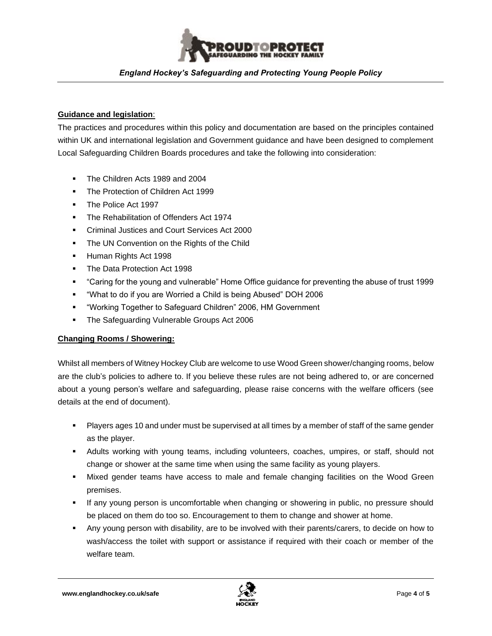

#### **Guidance and legislation**:

The practices and procedures within this policy and documentation are based on the principles contained within UK and international legislation and Government guidance and have been designed to complement Local Safeguarding Children Boards procedures and take the following into consideration:

- The Children Acts 1989 and 2004
- **The Protection of Children Act 1999**
- The Police Act 1997
- **The Rehabilitation of Offenders Act 1974**
- Criminal Justices and Court Services Act 2000
- **The UN Convention on the Rights of the Child**
- Human Rights Act 1998
- The Data Protection Act 1998
- "Caring for the young and vulnerable" Home Office guidance for preventing the abuse of trust 1999
- "What to do if you are Worried a Child is being Abused" DOH 2006
- "Working Together to Safeguard Children" 2006, HM Government
- The Safeguarding Vulnerable Groups Act 2006

#### **Changing Rooms / Showering:**

Whilst all members of Witney Hockey Club are welcome to use Wood Green shower/changing rooms, below are the club's policies to adhere to. If you believe these rules are not being adhered to, or are concerned about a young person's welfare and safeguarding, please raise concerns with the welfare officers (see details at the end of document).

- Players ages 10 and under must be supervised at all times by a member of staff of the same gender as the player.
- Adults working with young teams, including volunteers, coaches, umpires, or staff, should not change or shower at the same time when using the same facility as young players.
- Mixed gender teams have access to male and female changing facilities on the Wood Green premises.
- **.** If any young person is uncomfortable when changing or showering in public, no pressure should be placed on them do too so. Encouragement to them to change and shower at home.
- Any young person with disability, are to be involved with their parents/carers, to decide on how to wash/access the toilet with support or assistance if required with their coach or member of the welfare team.